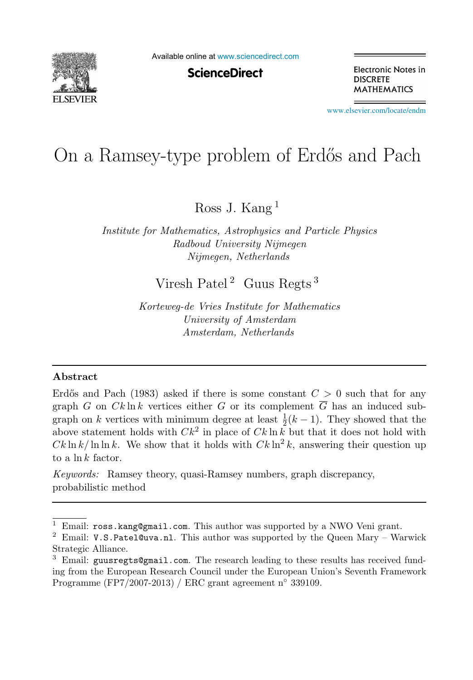

Available online at [www.sciencedirect.com](http://www.sciencedirect.com)

**ScienceDirect** 

Electronic Notes in **DISCRETE MATHEMATICS** 

[www.elsevier.com/locate/endm](http://www.elsevier.com/locate/endm)

# On a Ramsey-type problem of Erdős and Pach

Ross J. Kang <sup>1</sup>

*Institute for Mathematics, Astrophysics and Particle Physics Radboud University Nijmegen Nijmegen, Netherlands*

Viresh Patel<sup>2</sup> Guus Regts<sup>3</sup>

*Korteweg-de Vries Institute for Mathematics University of Amsterdam Amsterdam, Netherlands*

#### Abstract

Erdős and Pach (1983) asked if there is some constant  $C > 0$  such that for any graph G on  $Ck \ln k$  vertices either G or its complement  $\overline{G}$  has an induced subgraph on k vertices with minimum degree at least  $\frac{1}{2}(k-1)$ . They showed that the above statement holds with  $Ck^2$  in place of  $Ck \ln k$  but that it does not hold with  $Ck \ln k / \ln \ln k$ . We show that it holds with  $Ck \ln^2 k$ , answering their question up to a  $\ln k$  factor.

*Keywords:* Ramsey theory, quasi-Ramsey numbers, graph discrepancy, probabilistic method

<sup>&</sup>lt;sup>1</sup> Email: ross.kang@gmail.com. This author was supported by a NWO Veni grant.<br><sup>2</sup> Email: V.S.Patel@uva.nl. This author was supported by the Queen Mary – Warwick Strategic Alliance.

 $3$  Email: guusregts@gmail.com. The research leading to these results has received funding from the European Research Council under the European Union's Seventh Framework Programme (FP7/2007-2013) / ERC grant agreement n◦ 339109.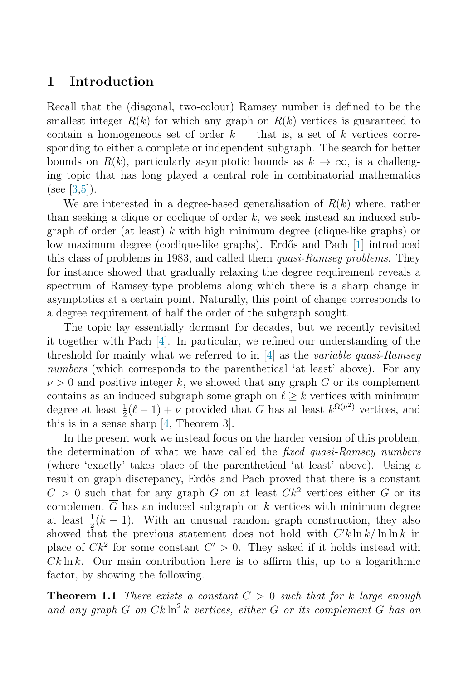## 1 Introduction

Recall that the (diagonal, two-colour) Ramsey number is defined to be the smallest integer  $R(k)$  for which any graph on  $R(k)$  vertices is guaranteed to contain a homogeneous set of order  $k$  — that is, a set of k vertices corresponding to either a complete or independent subgraph. The search for better bounds on  $R(k)$ , particularly asymptotic bounds as  $k \to \infty$ , is a challenging topic that has long played a central role in combinatorial mathematics (see [\[3](#page-6-0)[,5\]](#page-6-1)).

We are interested in a degree-based generalisation of  $R(k)$  where, rather than seeking a clique or coclique of order  $k$ , we seek instead an induced subgraph of order (at least) k with high minimum degree (clique-like graphs) or low maximum degree (coclique-like graphs). Erdős and Pach [\[1\]](#page-6-2) introduced this class of problems in 1983, and called them *quasi-Ramsey problems*. They for instance showed that gradually relaxing the degree requirement reveals a spectrum of Ramsey-type problems along which there is a sharp change in asymptotics at a certain point. Naturally, this point of change corresponds to a degree requirement of half the order of the subgraph sought.

The topic lay essentially dormant for decades, but we recently revisited it together with Pach [\[4\]](#page-6-3). In particular, we refined our understanding of the threshold for mainly what we referred to in [\[4\]](#page-6-3) as the variable quasi-Ramsey numbers (which corresponds to the parenthetical 'at least' above). For any  $\nu > 0$  and positive integer k, we showed that any graph G or its complement contains as an induced subgraph some graph on  $\ell > k$  vertices with minimum degree at least  $\frac{1}{2}(\ell-1) + \nu$  provided that G has at least  $k^{\Omega(\nu^2)}$  vertices, and this is in a sense sharp [\[4,](#page-6-3) Theorem 3].

In the present work we instead focus on the harder version of this problem, the determination of what we have called the fixed quasi-Ramsey numbers (where 'exactly' takes place of the parenthetical 'at least' above). Using a result on graph discrepancy, Erdős and Pach proved that there is a constant  $C > 0$  such that for any graph G on at least  $Ck^2$  vertices either G or its complement  $G$  has an induced subgraph on  $k$  vertices with minimum degree at least  $\frac{1}{2}(k-1)$ . With an unusual random graph construction, they also showed that the previous statement does not hold with  $C'k\ln k/\ln\ln k$  in place of  $Ck^2$  for some constant  $C' > 0$ . They asked if it holds instead with  $Ck \ln k$ . Our main contribution here is to affirm this, up to a logarithmic factor, by showing the following.

<span id="page-1-0"></span>**Theorem 1.1** There exists a constant  $C > 0$  such that for k large enough and any graph G on  $Ck \ln^2 k$  vertices, either G or its complement  $\overline{G}$  has an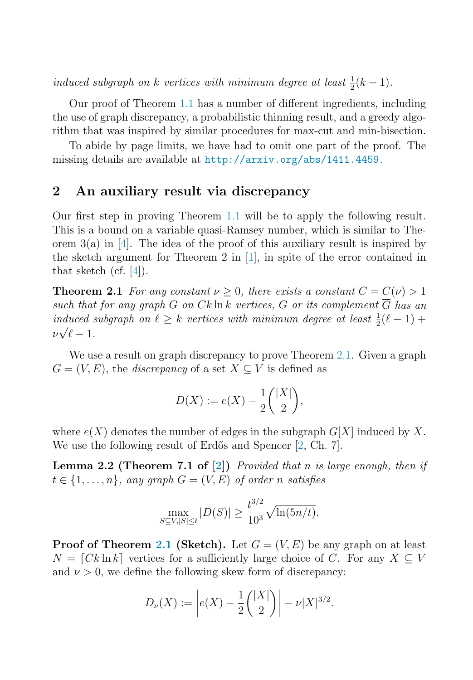induced subgraph on k vertices with minimum degree at least  $\frac{1}{2}(k-1)$ .

Our proof of Theorem [1.1](#page-1-0) has a number of different ingredients, including the use of graph discrepancy, a probabilistic thinning result, and a greedy algorithm that was inspired by similar procedures for max-cut and min-bisection.

To abide by page limits, we have had to omit one part of the proof. The missing details are available at <http://arxiv.org/abs/1411.4459>.

#### 2 An auxiliary result via discrepancy

<span id="page-2-0"></span>Our first step in proving Theorem [1.1](#page-1-0) will be to apply the following result. This is a bound on a variable quasi-Ramsey number, which is similar to Theorem  $3(a)$  in [\[4\]](#page-6-3). The idea of the proof of this auxiliary result is inspired by the sketch argument for Theorem 2 in [\[1\]](#page-6-2), in spite of the error contained in that sketch (cf. [\[4\]](#page-6-3)).

**Theorem 2.1** For any constant  $\nu > 0$ , there exists a constant  $C = C(\nu) > 1$ such that for any graph G on Ck ln k vertices, G or its complement  $\overline{G}$  has an induced subgraph on  $\ell \geq k$  vertices with minimum degree at least  $\frac{1}{2}(\ell-1)$  +  $\nu\sqrt{\ell-1}$ .

We use a result on graph discrepancy to prove Theorem [2.1.](#page-2-0) Given a graph  $G = (V, E)$ , the *discrepancy* of a set  $X \subseteq V$  is defined as

$$
D(X) := e(X) - \frac{1}{2} \binom{|X|}{2},
$$

<span id="page-2-1"></span>where  $e(X)$  denotes the number of edges in the subgraph  $G[X]$  induced by X. We use the following result of Erdős and Spencer [\[2,](#page-6-4) Ch. 7].

**Lemma 2.2 (Theorem 7.1 of [\[2\]](#page-6-4))** Provided that n is large enough, then if  $t \in \{1, \ldots, n\}$ , any graph  $G = (V, E)$  of order n satisfies

$$
\max_{S \subseteq V, |S| \le t} |D(S)| \ge \frac{t^{3/2}}{10^3} \sqrt{\ln(5n/t)}.
$$

**Proof of Theorem [2.1](#page-2-0) (Sketch).** Let  $G = (V, E)$  be any graph on at least  $N = [Ck \ln k]$  vertices for a sufficiently large choice of C. For any  $X \subseteq V$ and  $\nu > 0$ , we define the following skew form of discrepancy:

$$
D_{\nu}(X) := \left| e(X) - \frac{1}{2} \binom{|X|}{2} \right| - \nu |X|^{3/2}.
$$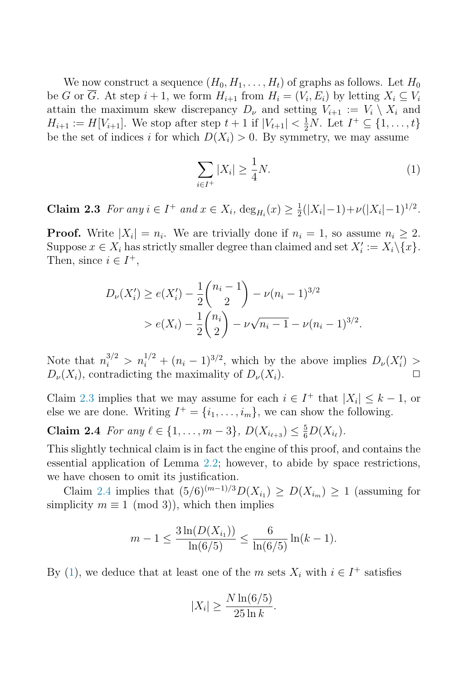<span id="page-3-0"></span>We now construct a sequence  $(H_0, H_1, \ldots, H_t)$  of graphs as follows. Let  $H_0$ be G or  $\overline{G}$ . At step  $i + 1$ , we form  $H_{i+1}$  from  $H_i = (V_i, E_i)$  by letting  $X_i \subseteq V_i$ attain the maximum skew discrepancy  $D_{\nu}$  and setting  $V_{i+1} := V_i \setminus X_i$  and  $H_{i+1} := H[V_{i+1}]$ . We stop after step  $t + 1$  if  $|V_{t+1}| < \frac{1}{2}N$ . Let  $I^+ \subseteq \{1, ..., t\}$ be the set of indices i for which  $D(X_i) > 0$ . By symmetry, we may assume

<span id="page-3-2"></span><span id="page-3-1"></span>
$$
\sum_{i \in I^+} |X_i| \ge \frac{1}{4}N. \tag{1}
$$

**Claim 2.3** For any  $i \in I^+$  and  $x \in X_i$ ,  $\deg_{H_i}(x) \geq \frac{1}{2}(|X_i| - 1) + \nu(|X_i| - 1)^{1/2}$ .

**Proof.** Write  $|X_i| = n_i$ . We are trivially done if  $n_i = 1$ , so assume  $n_i \geq 2$ . Suppose  $x \in X_i$  has strictly smaller degree than claimed and set  $X'_i := X_i \setminus \{x\}.$ Then, since  $i \in I^+,$ 

$$
D_{\nu}(X'_{i}) \ge e(X'_{i}) - \frac{1}{2} {n_{i} - 1 \choose 2} - \nu(n_{i} - 1)^{3/2}
$$
  
>  $e(X_{i}) - \frac{1}{2} {n_{i} \choose 2} - \nu \sqrt{n_{i} - 1} - \nu(n_{i} - 1)^{3/2}.$ 

Note that  $n_i^{3/2} > n_i^{1/2} + (n_i - 1)^{3/2}$ , which by the above implies  $D_\nu(X_i') >$  $D_{\nu}(X_i)$ , contradicting the maximality of  $D_{\nu}(X_i)$ .

Claim [2.3](#page-3-0) implies that we may assume for each  $i \in I^+$  that  $|X_i| \leq k - 1$ , or else we are done. Writing  $I^+ = \{i_1, \ldots, i_m\}$ , we can show the following.

**Claim 2.4** For any  $\ell \in \{1, ..., m-3\}$ ,  $D(X_{i_{\ell+3}}) \leq \frac{5}{6}D(X_{i_{\ell}})$ .

This slightly technical claim is in fact the engine of this proof, and contains the essential application of Lemma [2.2;](#page-2-1) however, to abide by space restrictions, we have chosen to omit its justification.

Claim [2.4](#page-3-1) implies that  $(5/6)^{(m-1)/3}D(X_{i_1}) \geq D(X_{i_m}) \geq 1$  (assuming for simplicity  $m \equiv 1 \pmod{3}$ , which then implies

$$
m - 1 \le \frac{3\ln(D(X_{i_1}))}{\ln(6/5)} \le \frac{6}{\ln(6/5)}\ln(k - 1).
$$

By [\(1\)](#page-3-2), we deduce that at least one of the m sets  $X_i$  with  $i \in I^+$  satisfies

$$
|X_i| \ge \frac{N \ln(6/5)}{25 \ln k}.
$$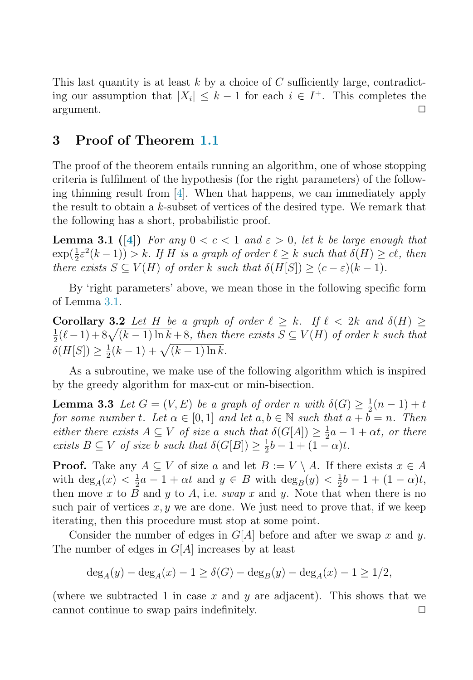This last quantity is at least k by a choice of  $C$  sufficiently large, contradicting our assumption that  $|X_i| \leq k - 1$  for each  $i \in I^+$ . This completes the argument.  $\Box$  argument.  $\Box$ 

### 3 Proof of Theorem [1.1](#page-1-0)

<span id="page-4-0"></span>The proof of the theorem entails running an algorithm, one of whose stopping criteria is fulfilment of the hypothesis (for the right parameters) of the following thinning result from [\[4\]](#page-6-3). When that happens, we can immediately apply the result to obtain a  $k$ -subset of vertices of the desired type. We remark that the following has a short, probabilistic proof.

<span id="page-4-2"></span>**Lemma 3.1** ([\[4\]](#page-6-3)) For any  $0 < c < 1$  and  $\varepsilon > 0$ , let k be large enough that  $\exp(\frac{1}{2}\varepsilon^2(k-1)) > k$ . If H is a graph of order  $\ell \geq k$  such that  $\delta(H) \geq c\ell$ , then there exists  $S \subseteq V(H)$  of order k such that  $\delta(H[S]) \geq (c - \varepsilon)(k - 1)$ .

By 'right parameters' above, we mean those in the following specific form of Lemma [3.1.](#page-4-0)

<span id="page-4-1"></span>Corollary 3.2 Let H be a graph of order  $\ell > k$ . If  $\ell < 2k$  and  $\delta(H) >$  $\frac{1}{2}(\ell-1) + 8\sqrt{(k-1)\ln k} + 8$ , then there exists  $S \subseteq V(H)$  of order k such that  $\delta(H[S]) \geq \frac{1}{2}(k-1) + \sqrt{(k-1)\ln k}.$ 

As a subroutine, we make use of the following algorithm which is inspired by the greedy algorithm for max-cut or min-bisection.

**Lemma 3.3** Let  $G = (V, E)$  be a graph of order n with  $\delta(G) \geq \frac{1}{2}(n-1) + t$ for some number t. Let  $\alpha \in [0,1]$  and let  $a, b \in \mathbb{N}$  such that  $a + b = n$ . Then either there exists  $A \subseteq V$  of size a such that  $\delta(G[A]) \geq \frac{1}{2}a - 1 + \alpha t$ , or there exists  $B \subseteq V$  of size b such that  $\delta(G[B]) \geq \frac{1}{2}b - 1 + (1 - \alpha)t$ .

**Proof.** Take any  $A \subseteq V$  of size a and let  $B := V \setminus A$ . If there exists  $x \in A$ with  $\deg_A(x) < \frac{1}{2}a - 1 + \alpha t$  and  $y \in B$  with  $\deg_B(y) < \frac{1}{2}b - 1 + (1 - \alpha)t$ , then move x to B and y to A, i.e. swap x and y. Note that when there is no such pair of vertices  $x, y$  we are done. We just need to prove that, if we keep iterating, then this procedure must stop at some point.

Consider the number of edges in  $G[A]$  before and after we swap x and y. The number of edges in  $G[A]$  increases by at least

$$
\deg_A(y) - \deg_A(x) - 1 \ge \delta(G) - \deg_B(y) - \deg_A(x) - 1 \ge 1/2,
$$

(where we subtracted 1 in case x and y are adjacent). This shows that we cannot continue to swap pairs indefinitely.  $\Box$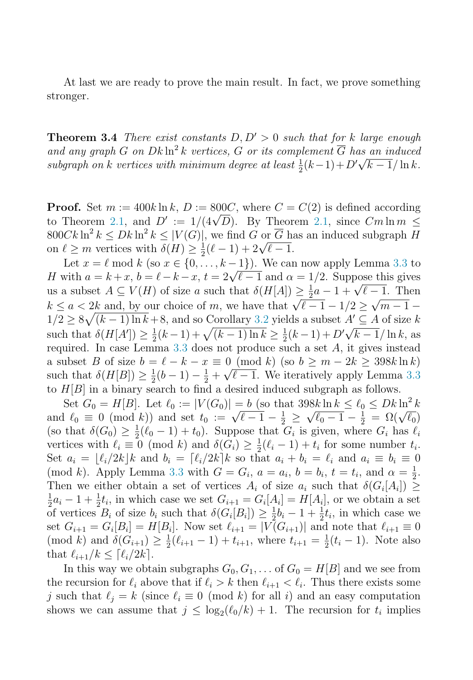At last we are ready to prove the main result. In fact, we prove something stronger.

**Theorem 3.4** There exist constants  $D, D' > 0$  such that for k large enough and any graph G on  $Dk \ln^2 k$  vertices, G or its complement  $\overline{G}$  has an induced subgraph on k vertices with minimum degree at least  $\frac{1}{2}(k-1)+D'\sqrt{k-1}/\ln k$ .

**Proof.** Set  $m := 400k \ln k$ ,  $D := 800C$ , where  $C = C(2)$  is defined according to Theorem [2.1,](#page-2-0) and  $D' := 1/(4\sqrt{D})$ . By Theorem 2.1, since  $Cm \ln m \le$  $800Ck\ln^2 k \le Dk\ln^2 k \le |V(G)|$ , we find G or  $\overline{G}$  has an induced subgraph H on  $\ell \geq m$  vertices with  $\overline{\delta(H)} \geq \frac{1}{2}(\ell - 1) + 2\sqrt{\ell - 1}$ .

Let  $x = \ell \mod k$  (so  $x \in \{0, \ldots, k-1\}$ ). We can now apply Lemma [3.3](#page-4-1) to H with  $a = k + x$ ,  $b = \ell - k - x$ ,  $t = 2\sqrt{\ell - 1}$  and  $\alpha = 1/2$ . Suppose this gives us a subset  $A \subseteq V(H)$  of size a such that  $\delta(H[A]) \geq \frac{1}{2}a - 1 + \sqrt{\ell - 1}$ . Then  $k \le a < 2k$  and, by our choice of m, we have that  $\sqrt{\ell-1} - 1/2 \ge \sqrt{m-1} 1/2 \geq 8\sqrt{(k-1)\ln k} + 8$ , and so Corollary [3.2](#page-4-2) yields a subset  $A' \subseteq A$  of size k such that  $\delta(H[A']) \geq \frac{1}{2}(k-1) + \sqrt{(k-1)\ln k} \geq \frac{1}{2}(k-1) + D'\sqrt{k-1}/\ln k$ , as required. In case Lemma  $3.3$  does not produce such a set  $A$ , it gives instead a subset B of size  $b = \ell - k - x \equiv 0 \pmod{k}$  (so  $b \ge m - 2k \ge 398k \ln k$ ) such that  $\delta(H[B]) \geq \frac{1}{2}(b-1) - \frac{1}{2} + \sqrt{\ell-1}$ . We iteratively apply Lemma [3.3](#page-4-1) to  $H[B]$  in a binary search to find a desired induced subgraph as follows.

Set  $G_0 = H[B]$ . Let  $\ell_0 := |V(G_0)| = b$  (so that  $398k \ln k \leq \ell_0 \leq Dk \ln^2 k$ and  $\ell_0 \equiv 0 \pmod{k}$  and set  $t_0 := \sqrt{\ell - 1} - \frac{1}{2} \ge \sqrt{\ell_0 - 1} - \frac{1}{2} = \Omega(\sqrt{\ell_0})$ (so that  $\delta(G_0) \geq \frac{1}{2}(\ell_0 - 1) + t_0$ ). Suppose that  $G_i$  is given, where  $G_i$  has  $\ell_i$ vertices with  $\ell_i \equiv 0 \pmod{k}$  and  $\delta(G_i) \geq \frac{1}{2}(\ell_i - 1) + t_i$  for some number  $t_i$ . Set  $a_i = \lfloor \ell_i/2k \rfloor k$  and  $b_i = \lceil \ell_i/2k \rceil k$  so that  $a_i + b_i = \ell_i$  and  $a_i \equiv b_i \equiv 0$ (mod k). Apply Lemma [3.3](#page-4-1) with  $G = G_i$ ,  $a = a_i$ ,  $b = b_i$ ,  $t = t_i$ , and  $\alpha = \frac{1}{2}$ . Then we either obtain a set of vertices  $A_i$  of size  $a_i$  such that  $\delta(G_i[A_i]) \geq$  $\frac{1}{2}a_i - 1 + \frac{1}{2}t_i$ , in which case we set  $G_{i+1} = G_i[A_i] = H[A_i]$ , or we obtain a set of vertices  $B_i$  of size  $b_i$  such that  $\delta(G_i[B_i]) \geq \frac{1}{2}b_i - 1 + \frac{1}{2}t_i$ , in which case we set  $G_{i+1} = G_i[B_i] = H[B_i]$ . Now set  $\ell_{i+1} = |V(G_{i+1})|$  and note that  $\ell_{i+1} \equiv 0$  $p(\text{mod } k)$  and  $\delta(G_{i+1}) \geq \frac{1}{2}(\ell_{i+1}-1) + t_{i+1}$ , where  $t_{i+1} = \frac{1}{2}(t_i-1)$ . Note also that  $\ell_{i+1}/k \leq |\ell_i/2k|.$ 

In this way we obtain subgraphs  $G_0, G_1, \ldots$  of  $G_0 = H[B]$  and we see from the recursion for  $\ell_i$  above that if  $\ell_i > k$  then  $\ell_{i+1} < \ell_i$ . Thus there exists some j such that  $\ell_i = k$  (since  $\ell_i \equiv 0 \pmod{k}$  for all i) and an easy computation shows we can assume that  $j \leq \log_2(\ell_0/k) + 1$ . The recursion for  $t_i$  implies